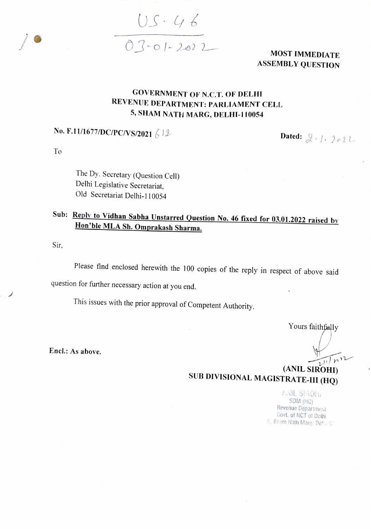$05 - 46$ <br>03-01-2022 MOST IMMEDIATE

ASSEMBLY QUESTION

## GOVERNMENT Or N.C.T. OF DELHI REVENUE DEPARTMENT: PARLIAMENT CELL 5, SHAM NATH MARG, DELHI-110054

## No. F.11/1677/DC/PC/VS/2021  $612$  Dated:  $21/222$

To

The Dy. Secretary (Question Cel) Delhi Legislative Secretariat, Old Secretariat Delhi-1 10054

## Sub: <u>Reply to Vidhan Sabha Unstarred Question No. 46 fixed for 03.01.2022 raised by</u><br>Hon'ble MLA Sh. Omprakash Sharma.

Sir

Please find enclosed herewith the 100 copies of the reply in respect of above said question for further necessary action at you end.

This issues with the prior approval of Competent Authority.

Yours faithfally

Encl.: As above.

(ANIL SIROHI)<br>SUB DIVISIONAL MAGISTRATE-III (HQ)

NIL SIROH SDM (HO) Revenue Department Govt. of NCT of Delhi , Sham Nath Marg. Dell. 5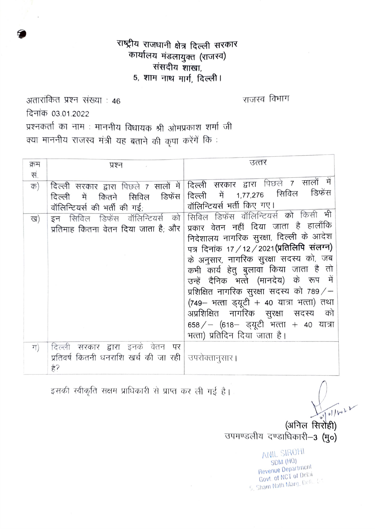## राष्ट्रीय राजधानी क्षेत्र दिल्ली सरकार कार्यालय मंडलायुक्त (राजस्व) संसदीय शाखा. 5, शाम नाथ मार्ग, दिल्ली।

अतारांकित प्रश्न संख्या : 46 दिनांक 03.01.2022 प्रश्नकर्ता का नाम : माननीय विधायक श्री ओमप्रकाश शर्मा जी क्या माननीय राजस्व मंत्री यह बताने की कृपा करेंगें कि :

| क्रम | प्रश्न                                    | उत्तर                                          |
|------|-------------------------------------------|------------------------------------------------|
| सं.  |                                           |                                                |
| क)   | दिल्ली सरकार द्वारा पिछले 7 सालों में     | दिल्ली सरकार द्वारा पिछले 7 सालों में          |
|      | डिफेंस<br>सिविल<br>दिल्ली<br>में<br>कितने | डिफॅस<br>सिविल<br>दिल्ली में 1,77,276          |
|      | वॉलिन्टियर्स की भर्ती की गई;              | वॉलिन्टियर्स भर्ती किए गए।                     |
| ख)   | इन सिविल डिफेंस वॉलिन्टियर्स को           | भी<br>सिविल डिफेंस वॉलिन्टियर्स को किसी        |
|      | प्रतिमाह कितना वेतन दिया जाता है; और      | प्रकार वेतन नहीं दिया जाता है हालाँकि          |
|      |                                           | निदेशालय नागरिक सुरक्षा, दिल्ली के आदेश        |
|      |                                           | पत्र दिनांक 17 / 12 / 2021 (प्रतिलिपि संलग्न)  |
|      |                                           | के अनुसार, नागरिक सुरक्षा सदस्य को, जब         |
|      |                                           | कभी कार्य हेतु बुलावा किया जाता है तो          |
|      |                                           | उन्हें दैनिक भत्ते (मानदेय) के रूप में         |
|      |                                           | प्रशिक्षित नागरिक सुरक्षा सदस्य को 789/ $-$    |
|      |                                           | $(749 - 4\pi\pi)$ इयूटी + 40 यात्रा भत्ता) तथा |
|      |                                           | अप्रशिक्षित नागरिक सुरक्षा सदस्य को            |
|      |                                           | $658 /  (618 - 322)$ भत्ता + 40 यात्रा         |
|      |                                           | भत्ता) प्रतिदिन दिया जाता है।                  |
| ग)   | दिल्ली सरकार द्वारा इनके वेतन पर          |                                                |
|      | प्रतिवर्ष कितनी धनराशि खर्च की जा रही     | उपरोक्तानुसार                                  |
|      | हे?                                       |                                                |
|      |                                           |                                                |

इसकी स्वीकृति सक्षम प्राधिकारी से प्राप्त कर ली गई है।

 $\omega$ (अनिल सिरोही) उपमण्डलीय दण्डाधिकारी-3 (मु०)

राजस्व विभाग

ANIL SIROHI SDM (HQ) Revenue Department Govt. of NCT of Delhi 5, Sham Nath Marg, Dell., L4